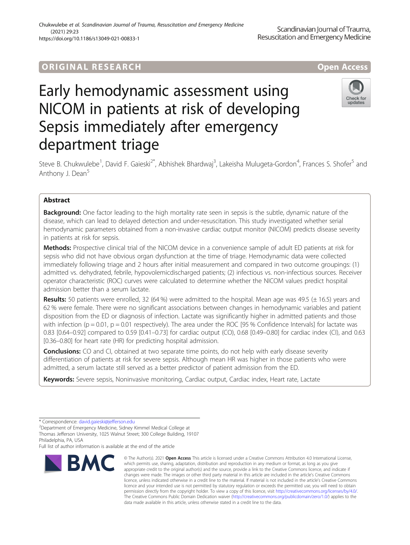# ORIGINA L R E S EA RCH Open Access

# Early hemodynamic assessment using NICOM in patients at risk of developing Sepsis immediately after emergency department triage



Steve B. Chukwulebe<sup>1</sup>, David F. Gaieski<sup>2\*</sup>, Abhishek Bhardwaj<sup>3</sup>, Lakeisha Mulugeta-Gordon<sup>4</sup>, Frances S. Shofer<sup>5</sup> and Anthony J. Dean<sup>5</sup>

# Abstract

**Background:** One factor leading to the high mortality rate seen in sepsis is the subtle, dynamic nature of the disease, which can lead to delayed detection and under-resuscitation. This study investigated whether serial hemodynamic parameters obtained from a non-invasive cardiac output monitor (NICOM) predicts disease severity in patients at risk for sepsis.

Methods: Prospective clinical trial of the NICOM device in a convenience sample of adult ED patients at risk for sepsis who did not have obvious organ dysfunction at the time of triage. Hemodynamic data were collected immediately following triage and 2 hours after initial measurement and compared in two outcome groupings: (1) admitted vs. dehydrated, febrile, hypovolemicdischarged patients; (2) infectious vs. non-infectious sources. Receiver operator characteristic (ROC) curves were calculated to determine whether the NICOM values predict hospital admission better than a serum lactate.

**Results:** 50 patients were enrolled, 32 (64%) were admitted to the hospital. Mean age was 49.5 ( $\pm$  16.5) years and 62 % were female. There were no significant associations between changes in hemodynamic variables and patient disposition from the ED or diagnosis of infection. Lactate was significantly higher in admitted patients and those with infection ( $p = 0.01$ ,  $p = 0.01$  respectively). The area under the ROC [95 % Confidence Intervals] for lactate was 0.83 [0.64–0.92] compared to 0.59 [0.41–0.73] for cardiac output (CO), 0.68 [0.49–0.80] for cardiac index (CI), and 0.63 [0.36–0.80] for heart rate (HR) for predicting hospital admission.

**Conclusions:** CO and CI, obtained at two separate time points, do not help with early disease severity differentiation of patients at risk for severe sepsis. Although mean HR was higher in those patients who were admitted, a serum lactate still served as a better predictor of patient admission from the ED.

Keywords: Severe sepsis, Noninvasive monitoring, Cardiac output, Cardiac index, Heart rate, Lactate

Full list of author information is available at the end of the article



<sup>©</sup> The Author(s), 2021 **Open Access** This article is licensed under a Creative Commons Attribution 4.0 International License, which permits use, sharing, adaptation, distribution and reproduction in any medium or format, as long as you give appropriate credit to the original author(s) and the source, provide a link to the Creative Commons licence, and indicate if changes were made. The images or other third party material in this article are included in the article's Creative Commons licence, unless indicated otherwise in a credit line to the material. If material is not included in the article's Creative Commons licence and your intended use is not permitted by statutory regulation or exceeds the permitted use, you will need to obtain permission directly from the copyright holder. To view a copy of this licence, visit [http://creativecommons.org/licenses/by/4.0/.](http://creativecommons.org/licenses/by/4.0/) The Creative Commons Public Domain Dedication waiver [\(http://creativecommons.org/publicdomain/zero/1.0/](http://creativecommons.org/publicdomain/zero/1.0/)) applies to the data made available in this article, unless otherwise stated in a credit line to the data.

<sup>\*</sup> Correspondence: [david.gaieski@jefferson.edu](mailto:david.gaieski@jefferson.edu) <sup>2</sup>

Department of Emergency Medicine, Sidney Kimmel Medical College at Thomas Jefferson University, 1025 Walnut Street; 300 College Building, 19107 Philadelphia, PA, USA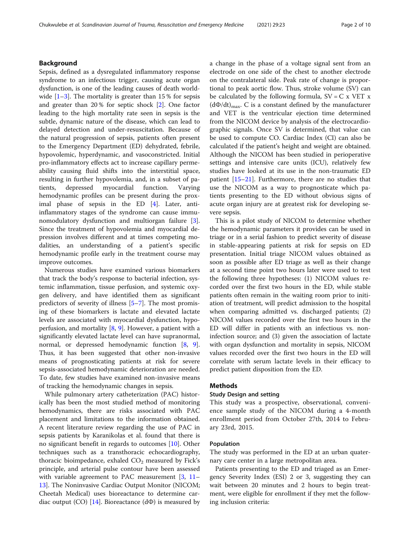# Background

Sepsis, defined as a dysregulated inflammatory response syndrome to an infectious trigger, causing acute organ dysfunction, is one of the leading causes of death worldwide  $[1-3]$  $[1-3]$  $[1-3]$ . The mortality is greater than 15 % for sepsis and greater than 20 % for septic shock [\[2](#page-8-0)]. One factor leading to the high mortality rate seen in sepsis is the subtle, dynamic nature of the disease, which can lead to delayed detection and under-resuscitation. Because of the natural progression of sepsis, patients often present to the Emergency Department (ED) dehydrated, febrile, hypovolemic, hyperdynamic, and vasoconstricted. Initial pro-inflammatory effects act to increase capillary permeability causing fluid shifts into the interstitial space, resulting in further hypovolemia, and, in a subset of patients, depressed myocardial function. Varying hemodynamic profiles can be present during the proximal phase of sepsis in the ED [[4\]](#page-9-0). Later, antiinflammatory stages of the syndrome can cause immunomodulatory dysfunction and multiorgan failure [\[3](#page-8-0)]. Since the treatment of hypovolemia and myocardial depression involves different and at times competing modalities, an understanding of a patient's specific hemodynamic profile early in the treatment course may improve outcomes.

Numerous studies have examined various biomarkers that track the body's response to bacterial infection, systemic inflammation, tissue perfusion, and systemic oxygen delivery, and have identified them as significant predictors of severity of illness [\[5](#page-9-0)–[7](#page-9-0)]. The most promising of these biomarkers is lactate and elevated lactate levels are associated with myocardial dysfunction, hypoperfusion, and mortality [[8,](#page-9-0) [9\]](#page-9-0). However, a patient with a significantly elevated lactate level can have supranormal, normal, or depressed hemodynamic function [\[8](#page-9-0), [9](#page-9-0)]. Thus, it has been suggested that other non-invasive means of prognosticating patients at risk for severe sepsis-associated hemodynamic deterioration are needed. To date, few studies have examined non-invasive means of tracking the hemodynamic changes in sepsis.

While pulmonary artery catheterization (PAC) historically has been the most studied method of monitoring hemodynamics, there are risks associated with PAC placement and limitations to the information obtained. A recent literature review regarding the use of PAC in sepsis patients by Karanikolas et al. found that there is no significant benefit in regards to outcomes [[10\]](#page-9-0). Other techniques such as a transthoracic echocardiography, thoracic bioimpedance, exhaled  $CO<sub>2</sub>$  measured by Fick's principle, and arterial pulse contour have been assessed with variable agreement to PAC measurement  $[3, 11 [3, 11 [3, 11 [3, 11-$ [13\]](#page-9-0). The Noninvasive Cardiac Output Monitor (NICOM; Cheetah Medical) uses bioreactance to determine car-diac output (CO) [[14](#page-9-0)]. Bioreactance ( $d\Phi$ ) is measured by a change in the phase of a voltage signal sent from an electrode on one side of the chest to another electrode on the contralateral side. Peak rate of change is proportional to peak aortic flow. Thus, stroke volume (SV) can be calculated by the following formula,  $SV = C x VET x$  $(d\Phi/dt)_{\text{max}}$ . C is a constant defined by the manufacturer and VET is the ventricular ejection time determined from the NICOM device by analysis of the electrocardiographic signals. Once SV is determined, that value can be used to compute CO. Cardiac Index (CI) can also be calculated if the patient's height and weight are obtained. Although the NICOM has been studied in perioperative settings and intensive care units (ICU), relatively few studies have looked at its use in the non-traumatic ED patient [\[15](#page-9-0)–[21\]](#page-9-0). Furthermore, there are no studies that use the NICOM as a way to prognosticate which patients presenting to the ED without obvious signs of acute organ injury are at greatest risk for developing severe sepsis.

This is a pilot study of NICOM to determine whether the hemodynamic parameters it provides can be used in triage or in a serial fashion to predict severity of disease in stable-appearing patients at risk for sepsis on ED presentation. Initial triage NICOM values obtained as soon as possible after ED triage as well as their change at a second time point two hours later were used to test the following three hypotheses: (1) NICOM values recorded over the first two hours in the ED, while stable patients often remain in the waiting room prior to initiation of treatment, will predict admission to the hospital when comparing admitted vs. discharged patients; (2) NICOM values recorded over the first two hours in the ED will differ in patients with an infectious vs. noninfection source; and (3) given the association of lactate with organ dysfunction and mortality in sepsis, NICOM values recorded over the first two hours in the ED will correlate with serum lactate levels in their efficacy to predict patient disposition from the ED.

### Methods

#### Study Design and setting

This study was a prospective, observational, convenience sample study of the NICOM during a 4-month enrollment period from October 27th, 2014 to February 23rd, 2015.

#### Population

The study was performed in the ED at an urban quaternary care center in a large metropolitan area.

Patients presenting to the ED and triaged as an Emergency Severity Index (ESI) 2 or 3, suggesting they can wait between 20 minutes and 2 hours to begin treatment, were eligible for enrollment if they met the following inclusion criteria: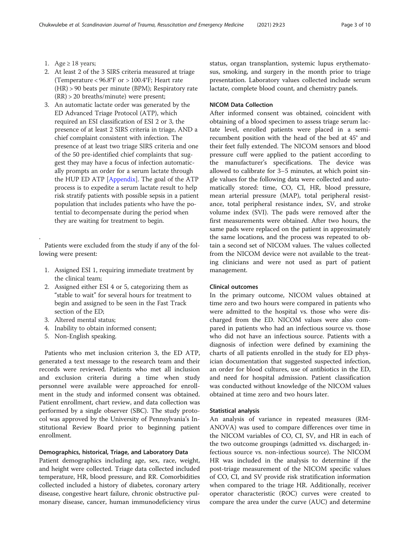- 1. Age  $\geq$  18 years;
- 2. At least 2 of the 3 SIRS criteria measured at triage (Temperature < 96.8°F or > 100.4°F; Heart rate (HR) > 90 beats per minute (BPM); Respiratory rate (RR) > 20 breaths/minute) were present;
- 3. An automatic lactate order was generated by the ED Advanced Triage Protocol (ATP), which required an ESI classification of ESI 2 or 3, the presence of at least 2 SIRS criteria in triage, AND a chief complaint consistent with infection. The presence of at least two triage SIRS criteria and one of the 50 pre-identified chief complaints that suggest they may have a focus of infection automatically prompts an order for a serum lactate through the HUP ED ATP [\[Appendix](#page-8-0)]. The goal of the ATP process is to expedite a serum lactate result to help risk stratify patients with possible sepsis in a patient population that includes patients who have the potential to decompensate during the period when they are waiting for treatment to begin.

Patients were excluded from the study if any of the following were present:

- 1. Assigned ESI 1, requiring immediate treatment by the clinical team;
- 2. Assigned either ESI 4 or 5, categorizing them as "stable to wait" for several hours for treatment to begin and assigned to be seen in the Fast Track section of the ED;
- 3. Altered mental status;

.

- 4. Inability to obtain informed consent;
- 5. Non-English speaking.

Patients who met inclusion criterion 3, the ED ATP, generated a text message to the research team and their records were reviewed. Patients who met all inclusion and exclusion criteria during a time when study personnel were available were approached for enrollment in the study and informed consent was obtained. Patient enrollment, chart review, and data collection was performed by a single observer (SBC). The study protocol was approved by the University of Pennsylvania's Institutional Review Board prior to beginning patient enrollment.

#### Demographics, historical, Triage, and Laboratory Data

Patient demographics including age, sex, race, weight, and height were collected. Triage data collected included temperature, HR, blood pressure, and RR. Comorbidities collected included a history of diabetes, coronary artery disease, congestive heart failure, chronic obstructive pulmonary disease, cancer, human immunodeficiency virus status, organ transplantion, systemic lupus erythematosus, smoking, and surgery in the month prior to triage presentation. Laboratory values collected include serum lactate, complete blood count, and chemistry panels.

# NICOM Data Collection

After informed consent was obtained, coincident with obtaining of a blood specimen to assess triage serum lactate level, enrolled patients were placed in a semirecumbent position with the head of the bed at 45° and their feet fully extended. The NICOM sensors and blood pressure cuff were applied to the patient according to the manufacturer's specifications. The device was allowed to calibrate for 3–5 minutes, at which point single values for the following data were collected and automatically stored: time, CO, CI, HR, blood pressure, mean arterial pressure (MAP), total peripheral resistance, total peripheral resistance index, SV, and stroke volume index (SVI). The pads were removed after the first measurements were obtained. After two hours, the same pads were replaced on the patient in approximately the same locations, and the process was repeated to obtain a second set of NICOM values. The values collected from the NICOM device were not available to the treating clinicians and were not used as part of patient management.

#### Clinical outcomes

In the primary outcome, NICOM values obtained at time zero and two hours were compared in patients who were admitted to the hospital vs. those who were discharged from the ED. NICOM values were also compared in patients who had an infectious source vs. those who did not have an infectious source. Patients with a diagnosis of infection were defined by examining the charts of all patients enrolled in the study for ED physician documentation that suggested suspected infection, an order for blood cultures, use of antibiotics in the ED, and need for hospital admission. Patient classification was conducted without knowledge of the NICOM values obtained at time zero and two hours later.

#### Statistical analysis

An analysis of variance in repeated measures (RM-ANOVA) was used to compare differences over time in the NICOM variables of CO, CI, SV, and HR in each of the two outcome groupings (admitted vs. discharged; infectious source vs. non-infectious source). The NICOM HR was included in the analysis to determine if the post-triage measurement of the NICOM specific values of CO, CI, and SV provide risk stratification information when compared to the triage HR. Additionally, receiver operator characteristic (ROC) curves were created to compare the area under the curve (AUC) and determine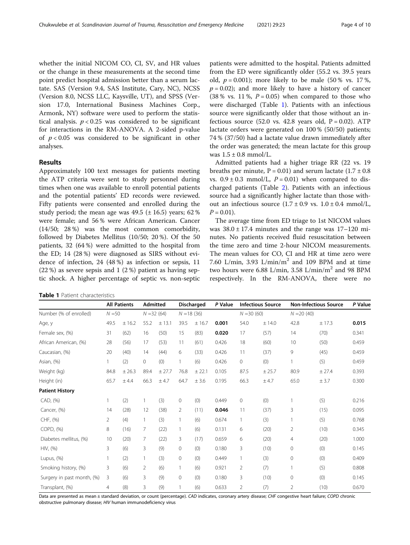whether the initial NICOM CO, CI, SV, and HR values or the change in these measurements at the second time point predict hospital admission better than a serum lactate. SAS (Version 9.4, SAS Institute, Cary, NC), NCSS (Version 8.0, NCSS LLC, Kaysville, UT), and SPSS (Version 17.0, International Business Machines Corp., Armonk, NY) software were used to perform the statistical analysis.  $p < 0.25$  was considered to be significant for interactions in the RM-ANOVA. A 2-sided p-value of  $p < 0.05$  was considered to be significant in other analyses.

# Results

Approximately 100 text messages for patients meeting the ATP criteria were sent to study personnel during times when one was available to enroll potential patients and the potential patients' ED records were reviewed. Fifty patients were consented and enrolled during the study period; the mean age was  $49.5$  ( $\pm$  16.5) years; 62 % were female; and 56 % were African American. Cancer (14/50; 28 %) was the most common comorbidity, followed by Diabetes Mellitus (10/50; 20 %). Of the 50 patients, 32 (64 %) were admitted to the hospital from the ED; 14 (28 %) were diagnosed as SIRS without evidence of infection, 24 (48 %) as infection or sepsis, 11 (22 %) as severe sepsis and 1 (2 %) patient as having septic shock. A higher percentage of septic vs. non-septic

patients were admitted to the hospital. Patients admitted from the ED were significantly older (55.2 vs. 39.5 years old,  $p = 0.001$ ); more likely to be male (50% vs. 17%,  $p = 0.02$ ); and more likely to have a history of cancer (38 % vs. 11 %,  $P = 0.05$ ) when compared to those who were discharged (Table 1). Patients with an infectious source were significantly older that those without an infectious source  $(52.0 \text{ vs. } 42.8 \text{ years old, } P = 0.02)$ . ATP lactate orders were generated on 100 % (50/50) patients; 74 % (37/50) had a lactate value drawn immediately after the order was generated; the mean lactate for this group was  $1.5 \pm 0.8$  mmol/L.

Admitted patients had a higher triage RR (22 vs. 19 breaths per minute,  $P = 0.01$ ) and serum lactate  $(1.7 \pm 0.8)$ vs.  $0.9 \pm 0.3$  mmol/L,  $P = 0.01$ ) when compared to discharged patients (Table [2](#page-4-0)). Patients with an infectious source had a significantly higher lactate than those without an infectious source  $(1.7 \pm 0.9 \text{ vs. } 1.0 \pm 0.4 \text{ mmol/L})$  $P = 0.01$ ).

The average time from ED triage to 1st NICOM values was  $38.0 \pm 17.4$  minutes and the range was  $17-120$  minutes. No patients received fluid resuscitation between the time zero and time 2-hour NICOM measurements. The mean values for CO, CI and HR at time zero were 7.60 L/min, 3.93 L/min/m<sup>2</sup> and 109 BPM and at time two hours were 6.88 L/min, 3.58 L/min/m<sup>2</sup> and 98 BPM respectively. In the RM-ANOVA, there were no

|                            | <b>All Patients</b><br>$N = 50$ |        | <b>Admitted</b><br>$N = 32(64)$ |        | <b>Discharged</b><br>$N = 18(36)$ |        | P Value | <b>Infectious Source</b><br>$N = 30(60)$ |        | <b>Non-Infectious Source</b><br>$N = 20(40)$ |        | P Value |
|----------------------------|---------------------------------|--------|---------------------------------|--------|-----------------------------------|--------|---------|------------------------------------------|--------|----------------------------------------------|--------|---------|
| Number (% of enrolled)     |                                 |        |                                 |        |                                   |        |         |                                          |        |                                              |        |         |
| Age, y                     | 49.5                            | ± 16.2 | 55.2                            | ± 13.1 | 39.5                              | ± 16.7 | 0.001   | 54.0                                     | ± 14.0 | 42.8                                         | ± 17.3 | 0.015   |
| Female sex, (%)            | 31                              | (62)   | 16                              | (50)   | 15                                | (83)   | 0.020   | 17                                       | (57)   | 14                                           | (70)   | 0.341   |
| African American, (%)      | 28                              | (56)   | 17                              | (53)   | 11                                | (61)   | 0.426   | 18                                       | (60)   | 10                                           | (50)   | 0.459   |
| Caucasian, (%)             | 20                              | (40)   | 14                              | (44)   | 6                                 | (33)   | 0.426   | 11                                       | (37)   | 9                                            | (45)   | 0.459   |
| Asian, (%)                 |                                 | (2)    | 0                               | (0)    | $\mathbf{1}$                      | (6)    | 0.426   | 0                                        | (0)    | $\mathbf{1}$                                 | (5)    | 0.459   |
| Weight (kg)                | 84.8                            | ± 26.3 | 89.4                            | ± 27.7 | 76.8                              | ± 22.1 | 0.105   | 87.5                                     | ± 25.7 | 80.9                                         | ± 27.4 | 0.393   |
| Height (in)                | 65.7                            | ± 4.4  | 66.3                            | ±4.7   | 64.7                              | ± 3.6  | 0.195   | 66.3                                     | ± 4.7  | 65.0                                         | ± 3.7  | 0.300   |
| <b>Patient History</b>     |                                 |        |                                 |        |                                   |        |         |                                          |        |                                              |        |         |
| CAD, (%)                   |                                 | (2)    |                                 | (3)    | $\circ$                           | (0)    | 0.449   | 0                                        | (0)    |                                              | (5)    | 0.216   |
| Cancer, (%)                | 14                              | (28)   | 12                              | (38)   | 2                                 | (11)   | 0.046   | 11                                       | (37)   | 3                                            | (15)   | 0.095   |
| CHF, (%)                   | $\overline{2}$                  | (4)    | $\mathbf{1}$                    | (3)    |                                   | (6)    | 0.674   |                                          | (3)    |                                              | (5)    | 0.768   |
| COPD, (%)                  | 8                               | (16)   | 7                               | (22)   | $\mathbf{1}$                      | (6)    | 0.131   | 6                                        | (20)   | $\overline{2}$                               | (10)   | 0.345   |
| Diabetes mellitus, (%)     | 10                              | (20)   | 7                               | (22)   | 3                                 | (17)   | 0.659   | 6                                        | (20)   | 4                                            | (20)   | 1.000   |
| HIV, (%)                   | 3                               | (6)    | 3                               | (9)    | $\circ$                           | (0)    | 0.180   | 3                                        | (10)   | 0                                            | (0)    | 0.145   |
| Lupus, (%)                 |                                 | (2)    | 1                               | (3)    | $\circ$                           | (0)    | 0.449   |                                          | (3)    | 0                                            | (0)    | 0.409   |
| Smoking history, (%)       | 3                               | (6)    | $\overline{2}$                  | (6)    |                                   | (6)    | 0.921   | $\overline{2}$                           | (7)    |                                              | (5)    | 0.808   |
| Surgery in past month, (%) | 3                               | (6)    | 3                               | (9)    | 0                                 | (0)    | 0.180   | 3                                        | (10)   | 0                                            | (0)    | 0.145   |
| Transplant, (%)            | 4                               | (8)    | 3                               | (9)    |                                   | (6)    | 0.633   | $\overline{2}$                           | (7)    | $\overline{2}$                               | (10)   | 0.670   |

Data are presented as mean ± standard deviation, or count (percentage). CAD indicates, coronary artery disease; CHF congestive heart failure; COPD chronic obstructive pulmonary disease; HIV human immunodeficiency virus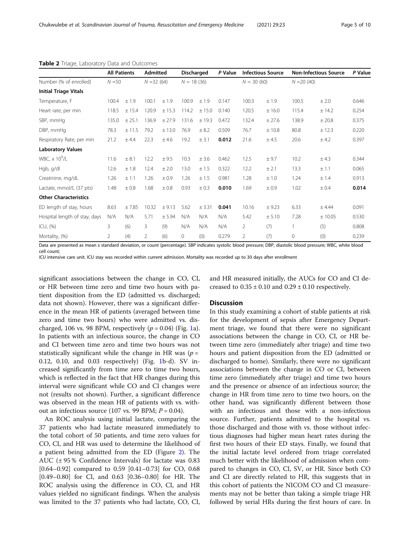|                                  | <b>All Patients</b><br>$N = 50$ |        | <b>Admitted</b><br>$N = 32(64)$ |           | <b>Discharged</b><br>$N = 18(36)$ |        | P Value | <b>Infectious Source</b><br>$N = 30(60)$ |        | <b>Non-Infectious Source</b><br>$N = 20(40)$ |          | P Value |
|----------------------------------|---------------------------------|--------|---------------------------------|-----------|-----------------------------------|--------|---------|------------------------------------------|--------|----------------------------------------------|----------|---------|
| Number (% of enrolled)           |                                 |        |                                 |           |                                   |        |         |                                          |        |                                              |          |         |
| <b>Initial Triage Vitals</b>     |                                 |        |                                 |           |                                   |        |         |                                          |        |                                              |          |         |
| Temperature, F                   | 100.4                           | ±1.9   | 100.1                           | ±1.9      | 100.9                             | ±1.9   | 0.147   | 100.3                                    | ±1.9   | 100.5                                        | ±2.0     | 0.646   |
| Heart rate, per min              | 118.5                           | ± 15.4 | 120.9                           | ± 15.3    | 114.2                             | ± 15.0 | 0.140   | 120.5                                    | ±16.0  | 115.4                                        | ± 14.2   | 0.254   |
| SBP, mmHq                        | 135.0                           | ± 25.1 | 136.9                           | ±27.9     | 131.6                             | ±19.3  | 0.472   | 132.4                                    | ± 27.6 | 138.9                                        | $±$ 20.8 | 0.375   |
| DBP, mmHq                        | 78.3                            | ± 11.5 | 79.2                            | ± 13.0    | 76.9                              | ± 8.2  | 0.509   | 76.7                                     | ±10.8  | 80.8                                         | ± 12.3   | 0.220   |
| Respiratory Rate, per min        | 21.2                            | ±4.4   | 22.3                            | ±4.6      | 19.2                              | ± 3.1  | 0.012   | 21.6                                     | ±4.5   | 20.6                                         | ± 4.2    | 0.397   |
| <b>Laboratory Values</b>         |                                 |        |                                 |           |                                   |        |         |                                          |        |                                              |          |         |
| WBC, $\times$ 10 <sup>9</sup> /L | 11.6                            | ± 8.1  | 12.2                            | ± 9.5     | 10.3                              | ± 3.6  | 0.462   | 12.5                                     | ± 9.7  | 10.2                                         | ± 4.3    | 0.344   |
| Hgb, g/dl                        | 12.6                            | ±1.8   | 12.4                            | ± 2.0     | 13.0                              | ± 1.5  | 0.322   | 12.2                                     | ± 2.1  | 13.3                                         | ±1.1     | 0.065   |
| Creatinine, mg/dL                | 1.26                            | ±1.1   | 1.26                            | ± 0.9     | 1.26                              | ±1.5   | 0.981   | 1.28                                     | ±1.0   | 1.24                                         | ±1.4     | 0.913   |
| Lactate, mmol/L (37 pts)         | 1.48                            | ±0.8   | 1.68                            | $\pm 0.8$ | 0.93                              | ± 0.3  | 0.010   | 1.69                                     | ±0.9   | 1.02                                         | ± 0.4    | 0.014   |
| <b>Other Characteristics</b>     |                                 |        |                                 |           |                                   |        |         |                                          |        |                                              |          |         |
| ED length of stay, hours         | 8.63                            | ±7.85  | 10.32                           | ± 9.13    | 5.62                              | ± 3.31 | 0.041   | 10.16                                    | ± 9.23 | 6.33                                         | ± 4.44   | 0.091   |
| Hospital length of stay, days    | N/A                             | N/A    | 5.71                            | ± 5.94    | N/A                               | N/A    | N/A     | 5.42                                     | ± 5.10 | 7.28                                         | ± 10.05  | 0.530   |
| ICU, (%)                         | 3                               | (6)    | 3                               | (9)       | N/A                               | N/A    | N/A     | $\overline{2}$                           | (7)    | 1                                            | (5)      | 0.808   |
| Mortality, (%)                   | 2                               | (4)    | 2                               | (6)       | $\mathbf 0$                       | (0)    | 0.279   | $\overline{2}$                           | (7)    | $\mathbf 0$                                  | (0)      | 0.239   |

#### <span id="page-4-0"></span>Table 2 Triage, Laboratory Data and Outcomes

Data are presented as mean ± standard deviation, or count (percentage). SBP indicates systolic blood pressure; DBP, diastolic blood pressure; WBC, white blood cell count;

ICU intensive care unit. ICU stay was recorded within current admission. Mortality was recorded up to 30 days after enrollment

significant associations between the change in CO, CI, or HR between time zero and time two hours with patient disposition from the ED (admitted vs. discharged; data not shown). However, there was a significant difference in the mean HR of patients (averaged between time zero and time two hours) who were admitted vs. discharged, 106 vs. 98 BPM, respectively  $(p = 0.04)$  (Fig. [1a](#page-5-0)). In patients with an infectious source, the change in CO and CI between time zero and time two hours was not statistically significant while the change in HR was ( $p =$ 0.12, 0.10, and 0.03 respectively) (Fig. [1b](#page-5-0)-d). SV increased significantly from time zero to time two hours, which is reflected in the fact that HR changes during this interval were significant while CO and CI changes were not (results not shown). Further, a significant difference was observed in the mean HR of patients with vs. without an infectious source (107 vs. 99 BPM;  $P = 0.04$ ).

An ROC analysis using initial lactate, comparing the 37 patients who had lactate measured immediately to the total cohort of 50 patients, and time zero values for CO, CI, and HR was used to determine the likelihood of a patient being admitted from the ED (Figure [2](#page-6-0)). The AUC  $(\pm 95\%$  Confidence Intervals) for lactate was 0.83 [0.64–0.92] compared to 0.59 [0.41–0.73] for CO, 0.68 [0.49–0.80] for CI, and 0.63 [0.36–0.80] for HR. The ROC analysis using the difference in CO, CI, and HR values yielded no significant findings. When the analysis was limited to the 37 patients who had lactate, CO, CI, and HR measured initially, the AUCs for CO and CI decreased to  $0.35 \pm 0.10$  and  $0.29 \pm 0.10$  respectively.

#### **Discussion**

In this study examining a cohort of stable patients at risk for the development of sepsis after Emergency Department triage, we found that there were no significant associations between the change in CO, CI, or HR between time zero (immediately after triage) and time two hours and patient disposition from the ED (admitted or discharged to home). Similarly, there were no significant associations between the change in CO or CI, between time zero (immediately after triage) and time two hours and the presence or absence of an infectious source; the change in HR from time zero to time two hours, on the other hand, was significantly different between those with an infectious and those with a non-infectious source. Further, patients admitted to the hospital vs. those discharged and those with vs. those without infectious diagnoses had higher mean heart rates during the first two hours of their ED stays. Finally, we found that the initial lactate level ordered from triage correlated much better with the likelihood of admission when compared to changes in CO, CI, SV, or HR. Since both CO and CI are directly related to HR, this suggests that in this cohort of patients the NICOM CO and CI measurements may not be better than taking a simple triage HR followed by serial HRs during the first hours of care. In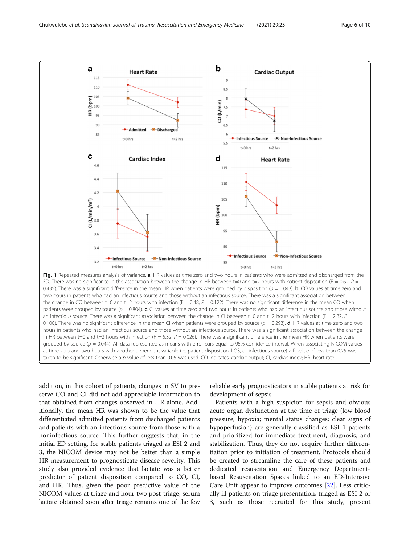<span id="page-5-0"></span>

Fig. 1 Repeated measures analysis of variance. a. HR values at time zero and two hours in patients who were admitted and discharged from the ED. There was no significance in the association between the change in HR between t=0 and t=2 hours with patient disposition (F = 0.62,  $P =$ 0.435). There was a significant difference in the mean HR when patients were grouped by disposition ( $p = 0.043$ ). **b.** CO values at time zero and two hours in patients who had an infectious source and those without an infectious source. There was a significant association between the change in CO between t=0 and t=2 hours with infection (F = 2.48,  $P = 0.122$ ). There was no significant difference in the mean CO when patients were grouped by source  $(p = 0.804)$ . c. CI values at time zero and two hours in patients who had an infectious source and those without an infectious source. There was a significant association between the change in CI between t=0 and t=2 hours with infection (F = 2.82,  $P$  = 0.100). There was no significant difference in the mean CI when patients were grouped by source ( $p = 0.293$ ). **d**. HR values at time zero and two hours in patients who had an infectious source and those without an infectious source. There was a significant association between the change in HR between t=0 and t=2 hours with infection (F = 5.32, P = 0.026). There was a significant difference in the mean HR when patients were grouped by source ( $p = 0.044$ ). All data represented as means with error bars equal to 95% confidence interval. When associating NICOM values at time zero and two hours with another dependent variable (ie. patient disposition, LOS, or infectious source) a P-value of less than 0.25 was taken to be significant. Otherwise a p-value of less than 0.05 was used. CO indicates, cardiac output; CI, cardiac index; HR, heart rate

addition, in this cohort of patients, changes in SV to preserve CO and CI did not add appreciable information to that obtained from changes observed in HR alone. Additionally, the mean HR was shown to be the value that differentiated admitted patients from discharged patients and patients with an infectious source from those with a noninfectious source. This further suggests that, in the initial ED setting, for stable patients triaged as ESI 2 and 3, the NICOM device may not be better than a simple HR measurement to prognosticate disease severity. This study also provided evidence that lactate was a better predictor of patient disposition compared to CO, CI, and HR. Thus, given the poor predictive value of the NICOM values at triage and hour two post-triage, serum lactate obtained soon after triage remains one of the few reliable early prognosticators in stable patients at risk for development of sepsis.

Patients with a high suspicion for sepsis and obvious acute organ dysfunction at the time of triage (low blood pressure; hypoxia; mental status changes; clear signs of hypoperfusion) are generally classified as ESI 1 patients and prioritized for immediate treatment, diagnosis, and stabilization. Thus, they do not require further differentiation prior to initiation of treatment. Protocols should be created to streamline the care of these patients and dedicated resuscitation and Emergency Departmentbased Resuscitation Spaces linked to an ED-Intensive Care Unit appear to improve outcomes [[22\]](#page-9-0). Less critically ill patients on triage presentation, triaged as ESI 2 or 3, such as those recruited for this study, present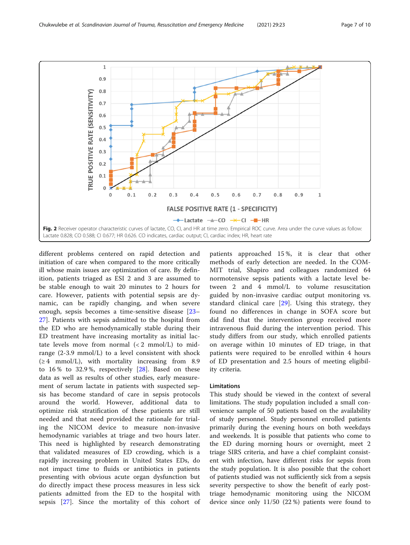<span id="page-6-0"></span>

different problems centered on rapid detection and initiation of care when compared to the more critically ill whose main issues are optimization of care. By definition, patients triaged as ESI 2 and 3 are assumed to be stable enough to wait 20 minutes to 2 hours for care. However, patients with potential sepsis are dynamic, can be rapidly changing, and when severe enough, sepsis becomes a time-sensitive disease [[23](#page-9-0)– [27\]](#page-9-0). Patients with sepsis admitted to the hospital from the ED who are hemodynamically stable during their ED treatment have increasing mortality as initial lactate levels move from normal  $(< 2$  mmol/L) to midrange (2-3.9 mmol/L) to a level consistent with shock  $(\geq 4$  mmol/L), with mortality increasing from 8.9 to 16 % to 32.9 %, respectively [[28\]](#page-9-0). Based on these data as well as results of other studies, early measurement of serum lactate in patients with suspected sepsis has become standard of care in sepsis protocols around the world. However, additional data to optimize risk stratification of these patients are still needed and that need provided the rationale for trialing the NICOM device to measure non-invasive hemodynamic variables at triage and two hours later. This need is highlighted by research demonstrating that validated measures of ED crowding, which is a rapidly increasing problem in United States EDs, do not impact time to fluids or antibiotics in patients presenting with obvious acute organ dysfunction but do directly impact these process measures in less sick patients admitted from the ED to the hospital with sepsis [\[27](#page-9-0)]. Since the mortality of this cohort of

patients approached 15 %, it is clear that other methods of early detection are needed. In the COM-MIT trial, Shapiro and colleagues randomized 64 normotensive sepsis patients with a lactate level between 2 and 4 mmol/L to volume resuscitation guided by non-invasive cardiac output monitoring vs. standard clinical care [\[29](#page-9-0)]. Using this strategy, they found no differences in change in SOFA score but did find that the intervention group received more intravenous fluid during the intervention period. This study differs from our study, which enrolled patients on average within 10 minutes of ED triage, in that patients were required to be enrolled within 4 hours of ED presentation and 2.5 hours of meeting eligibility criteria.

# Limitations

This study should be viewed in the context of several limitations. The study population included a small convenience sample of 50 patients based on the availability of study personnel. Study personnel enrolled patients primarily during the evening hours on both weekdays and weekends. It is possible that patients who come to the ED during morning hours or overnight, meet 2 triage SIRS criteria, and have a chief complaint consistent with infection, have different risks for sepsis from the study population. It is also possible that the cohort of patients studied was not sufficiently sick from a sepsis severity perspective to show the benefit of early posttriage hemodynamic monitoring using the NICOM device since only 11/50 (22 %) patients were found to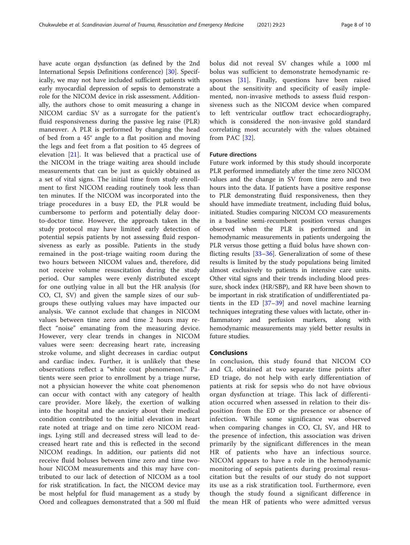have acute organ dysfunction (as defined by the 2nd International Sepsis Definitions conference) [[30\]](#page-9-0). Specifically, we may not have included sufficient patients with early myocardial depression of sepsis to demonstrate a role for the NICOM device in risk assessment. Additionally, the authors chose to omit measuring a change in NICOM cardiac SV as a surrogate for the patient's fluid responsiveness during the passive leg raise (PLR) maneuver. A PLR is performed by changing the head of bed from a 45° angle to a flat position and moving the legs and feet from a flat position to 45 degrees of elevation [\[21](#page-9-0)]. It was believed that a practical use of the NICOM in the triage waiting area should include measurements that can be just as quickly obtained as a set of vital signs. The initial time from study enrollment to first NICOM reading routinely took less than ten minutes. If the NICOM was incorporated into the triage procedures in a busy ED, the PLR would be cumbersome to perform and potentially delay doorto-doctor time. However, the approach taken in the study protocol may have limited early detection of potential sepsis patients by not assessing fluid responsiveness as early as possible. Patients in the study remained in the post-triage waiting room during the two hours between NICOM values and, therefore, did not receive volume resuscitation during the study period. Our samples were evenly distributed except for one outlying value in all but the HR analysis (for CO, CI, SV) and given the sample sizes of our subgroups these outlying values may have impacted our analysis. We cannot exclude that changes in NICOM values between time zero and time 2 hours may reflect "noise" emanating from the measuring device. However, very clear trends in changes in NICOM values were seen: decreasing heart rate, increasing stroke volume, and slight decreases in cardiac output and cardiac index. Further, it is unlikely that these observations reflect a "white coat phenomenon." Patients were seen prior to enrollment by a triage nurse, not a physician however the white coat phenomenon can occur with contact with any category of health care provider. More likely, the exertion of walking into the hospital and the anxiety about their medical condition contributed to the initial elevation in heart rate noted at triage and on time zero NICOM readings. Lying still and decreased stress will lead to decreased heart rate and this is reflected in the second NICOM readings. In addition, our patients did not receive fluid boluses between time zero and time twohour NICOM measurements and this may have contributed to our lack of detection of NICOM as a tool for risk stratification. In fact, the NICOM device may be most helpful for fluid management as a study by Oord and colleagues demonstrated that a 500 ml fluid

bolus did not reveal SV changes while a 1000 ml bolus was sufficient to demonstrate hemodynamic responses [\[31\]](#page-9-0). Finally, questions have been raised about the sensitivity and specificity of easily implemented, non-invasive methods to assess fluid responsiveness such as the NICOM device when compared to left ventricular outflow tract echocardiography, which is considered the non-invasive gold standard correlating most accurately with the values obtained from PAC [\[32](#page-9-0)].

# Future directions

Future work informed by this study should incorporate PLR performed immediately after the time zero NICOM values and the change in SV from time zero and two hours into the data. If patients have a positive response to PLR demonstrating fluid responsiveness, then they should have immediate treatment, including fluid bolus, initiated. Studies comparing NICOM CO measurements in a baseline semi-recumbent position versus changes observed when the PLR is performed and in hemodynamic measurements in patients undergoing the PLR versus those getting a fluid bolus have shown conflicting results  $[33-36]$  $[33-36]$  $[33-36]$ . Generalization of some of these results is limited by the study populations being limited almost exclusively to patients in intensive care units. Other vital signs and their trends including blood pressure, shock index (HR/SBP), and RR have been shown to be important in risk stratification of undifferentiated patients in the ED  $[37-39]$  $[37-39]$  $[37-39]$  $[37-39]$  and novel machine learning techniques integrating these values with lactate, other inflammatory and perfusion markers, along with hemodynamic measurements may yield better results in future studies.

### Conclusions

In conclusion, this study found that NICOM CO and CI, obtained at two separate time points after ED triage, do not help with early differentiation of patients at risk for sepsis who do not have obvious organ dysfunction at triage. This lack of differentiation occurred when assessed in relation to their disposition from the ED or the presence or absence of infection. While some significance was observed when comparing changes in CO, CI, SV, and HR to the presence of infection, this association was driven primarily by the significant differences in the mean HR of patients who have an infectious source. NICOM appears to have a role in the hemodynamic monitoring of sepsis patients during proximal resuscitation but the results of our study do not support its use as a risk stratification tool. Furthermore, even though the study found a significant difference in the mean HR of patients who were admitted versus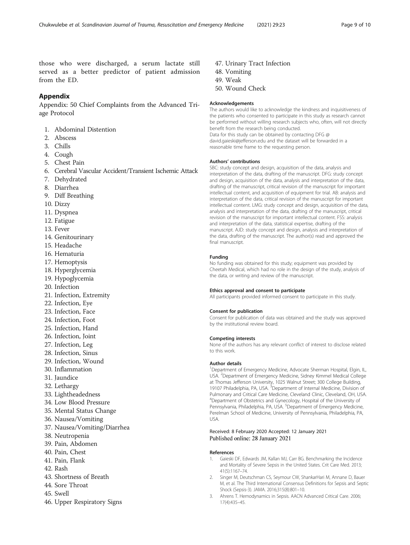<span id="page-8-0"></span>those who were discharged, a serum lactate still served as a better predictor of patient admission from the ED.

# Appendix

Appendix: 50 Chief Complaints from the Advanced Triage Protocol

- 1. Abdominal Distention
- 2. Abscess
- 3. Chills
- 4. Cough
- 5. Chest Pain
- 6. Cerebral Vascular Accident/Transient Ischemic Attack
- 7. Dehydrated
- 8. Diarrhea
- 9. Diff Breathing
- 10. Dizzy
- 11. Dyspnea
- 12. Fatigue
- 13. Fever
- 14. Genitourinary
- 15. Headache
- 16. Hematuria
- 17. Hemoptysis
- 18. Hyperglycemia
- 19. Hypoglycemia
- 20. Infection
- 21. Infection, Extremity
- 22. Infection, Eye
- 23. Infection, Face
- 24. Infection, Foot
- 25. Infection, Hand
- 26. Infection, Joint
- 27. Infection, Leg
- 28. Infection, Sinus
- 29. Infection, Wound
- 30. Inflammation
- 31. Jaundice
- 
- 32. Lethargy
- 33. Lightheadedness
- 34. Low Blood Pressure
- 35. Mental Status Change
- 36. Nausea/Vomiting
- 37. Nausea/Vomiting/Diarrhea
- 38. Neutropenia
- 39. Pain, Abdomen
- 40. Pain, Chest
- 41. Pain, Flank
- 42. Rash
- 43. Shortness of Breath
- 44. Sore Throat
- 45. Swell
- 46. Upper Respiratory Signs

47. Urinary Tract Infection

reasonable time frame to the requesting person.

- 48. Vomiting
- 49. Weak
- 50. Wound Check

#### Acknowledgements

The authors would like to acknowledge the kindness and inquisitiveness of the patients who consented to participate in this study as research cannot be performed without willing research subjects who, often, will not directly benefit from the research being conducted. Data for this study can be obtained by contacting DFG @ david.gaieski@jefferson.edu and the dataset will be forwarded in a

#### Authors' contributions

SBC: study concept and design, acquisition of the data, analysis and interpretation of the data, drafting of the manuscript. DFG: study concept and design, acquisition of the data, analysis and interpretation of the data, drafting of the manuscript, critical revision of the manuscript for important intellectual content, and acquisition of equipment for trial. AB: analysis and interpretation of the data, critical revision of the manuscript for important intellectual content. LMG: study concept and design, acquisition of the data, analysis and interpretation of the data, drafting of the manuscript, critical revision of the manuscript for important intellectual content. FSS: analysis and interpretation of the data, statistical expertise, drafting of the manuscript. AJD: study concept and design, analysis and interpretation of the data, drafting of the manuscript. The author(s) read and approved the final manuscript.

#### Funding

No funding was obtained for this study; equipment was provided by Cheetah Medical, which had no role in the design of the study, analysis of the data, or writing and review of the manuscript.

#### Ethics approval and consent to participate

All participants provided informed consent to participate in this study.

#### Consent for publication

Consent for publication of data was obtained and the study was approved by the institutional review board.

#### Competing interests

None of the authors has any relevant conflict of interest to disclose related to this work.

#### Author details

<sup>1</sup>Department of Emergency Medicine, Advocate Sherman Hospital, Elgin, IL USA. <sup>2</sup> Department of Emergency Medicine, Sidney Kimmel Medical College at Thomas Jefferson University, 1025 Walnut Street; 300 College Building,<br>19107 Philadelphia, PA, USA. <sup>3</sup>Department of Internal Medicine, Division of Pulmonary and Critical Care Medicine, Cleveland Clinic, Cleveland, OH, USA. 4 Department of Obstetrics and Gynecology, Hospital of the University of Pennsylvania, Philadelphia, PA, USA. <sup>5</sup>Department of Emergency Medicine Perelman School of Medicine, University of Pennsylvania, Philadelphia, PA, USA.

#### Received: 8 February 2020 Accepted: 12 January 2021 Published online: 28 January 2021

#### References

- 1. Gaieski DF, Edwards JM, Kallan MJ, Carr BG. Benchmarking the Incidence and Mortality of Severe Sepsis in the United States. Crit Care Med. 2013; 41(5):1167–74.
- 2. Singer M, Deutschman CS, Seymour CW, ShankarHari M, Annane D, Bauer M, et al. The Third International Consensus Definitions for Sepsis and Septic Shock (Sepsis-3). JAMA. 2016;315(8):801–10.
- 3. Ahrens T. Hemodynamics in Sepsis. AACN Advanced Critical Care. 2006; 17(4):435–45.